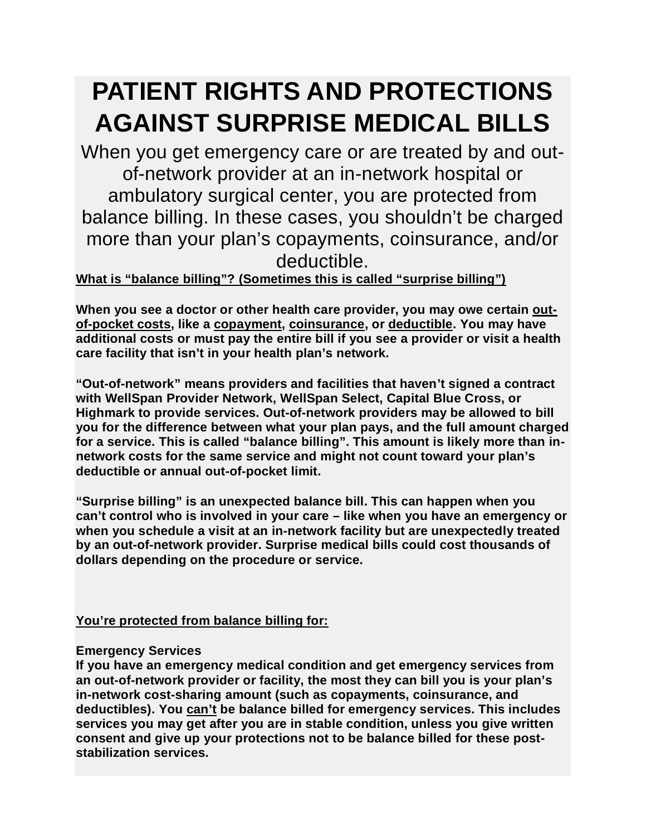## **PATIENT RIGHTS AND PROTECTIONS AGAINST SURPRISE MEDICAL BILLS**

When you get emergency care or are treated by and outof-network provider at an in-network hospital or ambulatory surgical center, you are protected from balance billing. In these cases, you shouldn't be charged more than your plan's copayments, coinsurance, and/or deductible.

## **What is "balance billing"? (Sometimes this is called "surprise billing")**

**When you see a doctor or other health care provider, you may owe certain outof-pocket costs, like a copayment, coinsurance, or deductible. You may have additional costs or must pay the entire bill if you see a provider or visit a health care facility that isn't in your health plan's network.**

**"Out-of-network" means providers and facilities that haven't signed a contract with WellSpan Provider Network, WellSpan Select, Capital Blue Cross, or Highmark to provide services. Out-of-network providers may be allowed to bill you for the difference between what your plan pays, and the full amount charged for a service. This is called "balance billing". This amount is likely more than innetwork costs for the same service and might not count toward your plan's deductible or annual out-of-pocket limit.**

**"Surprise billing" is an unexpected balance bill. This can happen when you can't control who is involved in your care – like when you have an emergency or when you schedule a visit at an in-network facility but are unexpectedly treated by an out-of-network provider. Surprise medical bills could cost thousands of dollars depending on the procedure or service.**

**You're protected from balance billing for:**

## **Emergency Services**

**If you have an emergency medical condition and get emergency services from an out-of-network provider or facility, the most they can bill you is your plan's in-network cost-sharing amount (such as copayments, coinsurance, and deductibles). You can't be balance billed for emergency services. This includes services you may get after you are in stable condition, unless you give written consent and give up your protections not to be balance billed for these poststabilization services.**